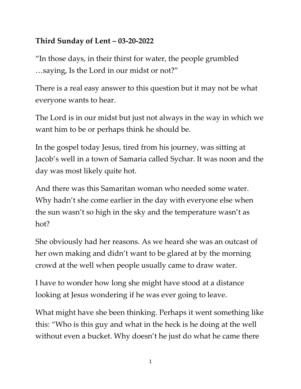## **Third Sunday of Lent – 03-20-2022**

"In those days, in their thirst for water, the people grumbled …saying, Is the Lord in our midst or not?"

There is a real easy answer to this question but it may not be what everyone wants to hear.

The Lord is in our midst but just not always in the way in which we want him to be or perhaps think he should be.

In the gospel today Jesus, tired from his journey, was sitting at Jacob's well in a town of Samaria called Sychar. It was noon and the day was most likely quite hot.

And there was this Samaritan woman who needed some water. Why hadn't she come earlier in the day with everyone else when the sun wasn't so high in the sky and the temperature wasn't as hot?

She obviously had her reasons. As we heard she was an outcast of her own making and didn't want to be glared at by the morning crowd at the well when people usually came to draw water.

I have to wonder how long she might have stood at a distance looking at Jesus wondering if he was ever going to leave.

What might have she been thinking. Perhaps it went something like this: "Who is this guy and what in the heck is he doing at the well without even a bucket. Why doesn't he just do what he came there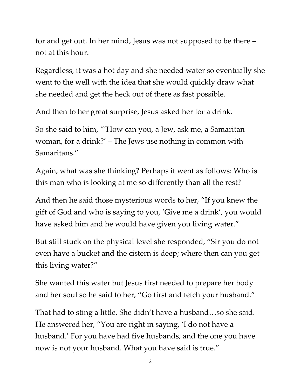for and get out. In her mind, Jesus was not supposed to be there – not at this hour.

Regardless, it was a hot day and she needed water so eventually she went to the well with the idea that she would quickly draw what she needed and get the heck out of there as fast possible.

And then to her great surprise, Jesus asked her for a drink.

So she said to him, "'How can you, a Jew, ask me, a Samaritan woman, for a drink?' – The Jews use nothing in common with Samaritans."

Again, what was she thinking? Perhaps it went as follows: Who is this man who is looking at me so differently than all the rest?

And then he said those mysterious words to her, "If you knew the gift of God and who is saying to you, 'Give me a drink', you would have asked him and he would have given you living water."

But still stuck on the physical level she responded, "Sir you do not even have a bucket and the cistern is deep; where then can you get this living water?"

She wanted this water but Jesus first needed to prepare her body and her soul so he said to her, "Go first and fetch your husband."

That had to sting a little. She didn't have a husband…so she said. He answered her, "You are right in saying, 'I do not have a husband.' For you have had five husbands, and the one you have now is not your husband. What you have said is true."